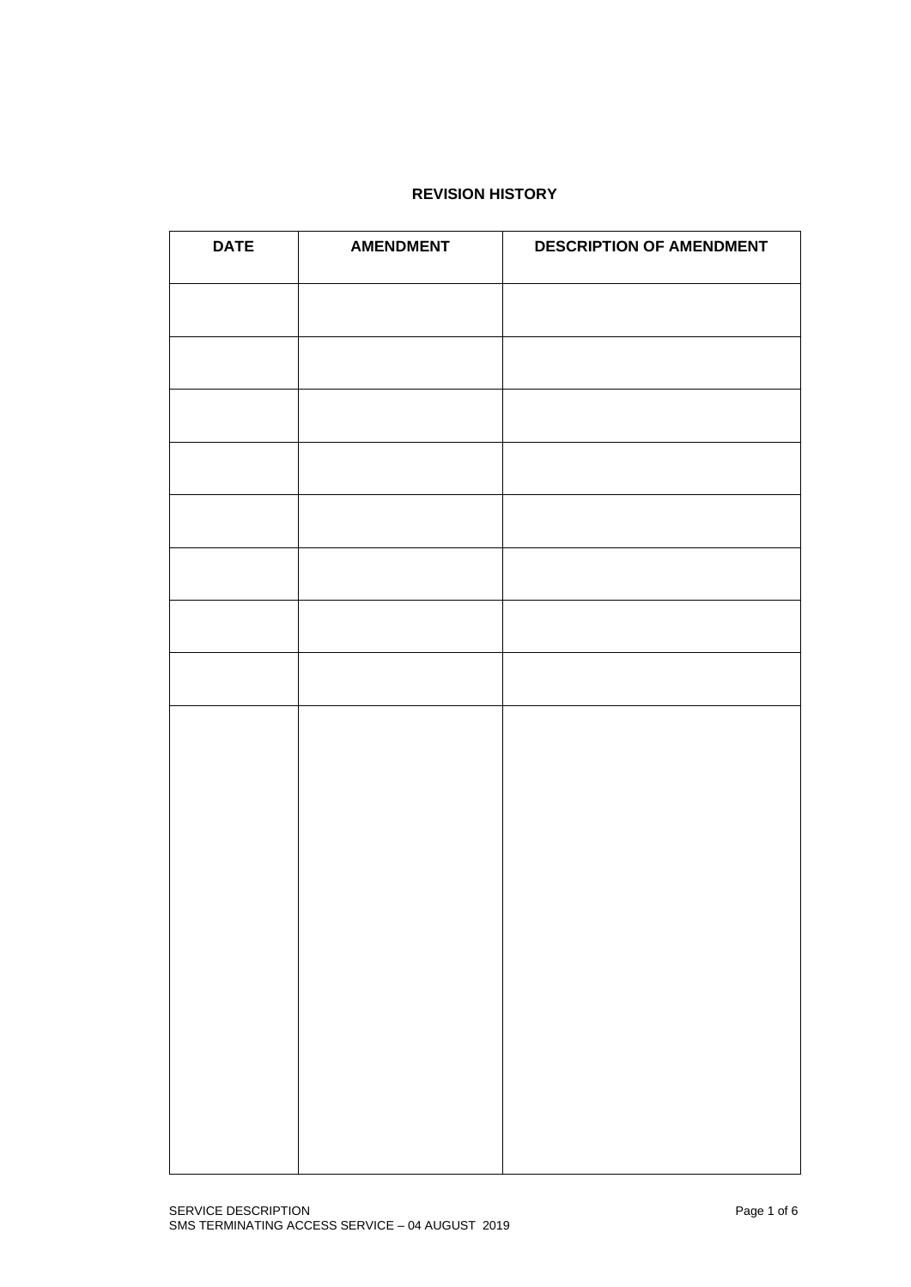# **REVISION HISTORY**

| <b>DATE</b> | <b>AMENDMENT</b> | <b>DESCRIPTION OF AMENDMENT</b> |
|-------------|------------------|---------------------------------|
|             |                  |                                 |
|             |                  |                                 |
|             |                  |                                 |
|             |                  |                                 |
|             |                  |                                 |
|             |                  |                                 |
|             |                  |                                 |
|             |                  |                                 |
|             |                  |                                 |
|             |                  |                                 |
|             |                  |                                 |
|             |                  |                                 |
|             |                  |                                 |
|             |                  |                                 |
|             |                  |                                 |
|             |                  |                                 |
|             |                  |                                 |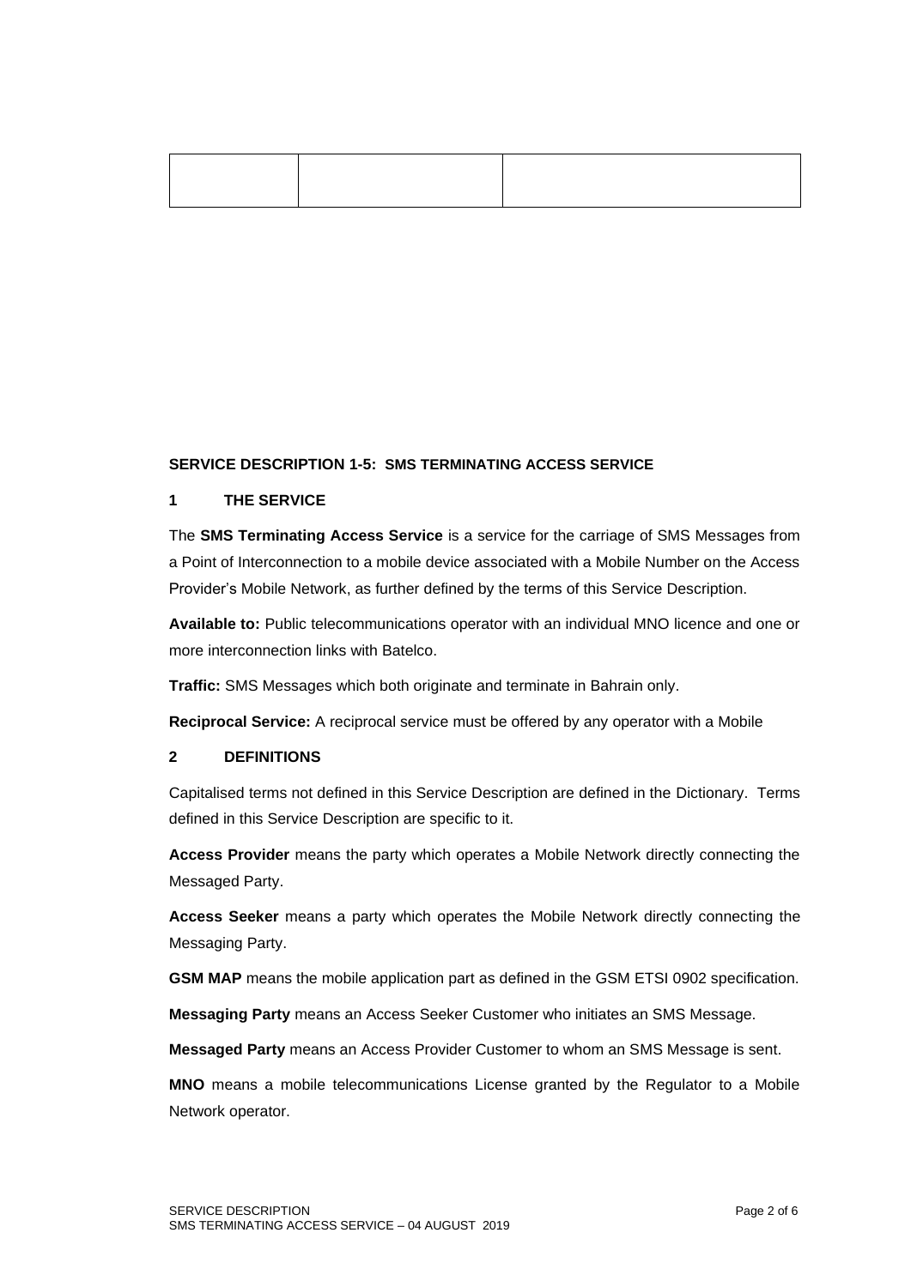### **SERVICE DESCRIPTION 1-5: SMS TERMINATING ACCESS SERVICE**

### **1 THE SERVICE**

The **SMS Terminating Access Service** is a service for the carriage of SMS Messages from a Point of Interconnection to a mobile device associated with a Mobile Number on the Access Provider's Mobile Network, as further defined by the terms of this Service Description.

**Available to:** Public telecommunications operator with an individual MNO licence and one or more interconnection links with Batelco.

**Traffic:** SMS Messages which both originate and terminate in Bahrain only.

**Reciprocal Service:** A reciprocal service must be offered by any operator with a Mobile

# **2 DEFINITIONS**

Capitalised terms not defined in this Service Description are defined in the Dictionary. Terms defined in this Service Description are specific to it.

**Access Provider** means the party which operates a Mobile Network directly connecting the Messaged Party.

**Access Seeker** means a party which operates the Mobile Network directly connecting the Messaging Party.

**GSM MAP** means the mobile application part as defined in the GSM ETSI 0902 specification.

**Messaging Party** means an Access Seeker Customer who initiates an SMS Message.

**Messaged Party** means an Access Provider Customer to whom an SMS Message is sent.

**MNO** means a mobile telecommunications License granted by the Regulator to a Mobile Network operator.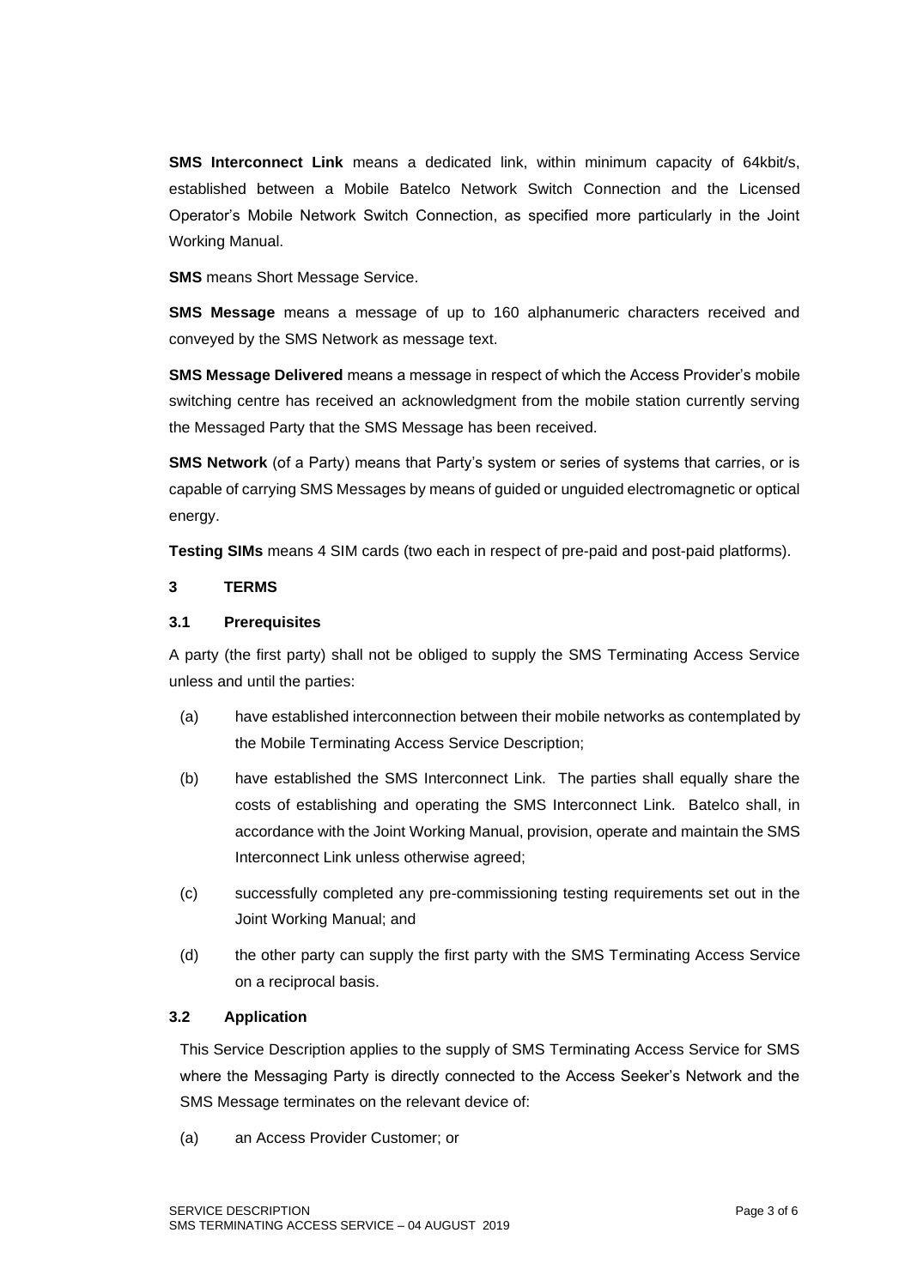**SMS Interconnect Link** means a dedicated link, within minimum capacity of 64kbit/s, established between a Mobile Batelco Network Switch Connection and the Licensed Operator's Mobile Network Switch Connection, as specified more particularly in the Joint Working Manual.

**SMS** means Short Message Service.

**SMS Message** means a message of up to 160 alphanumeric characters received and conveyed by the SMS Network as message text.

**SMS Message Delivered** means a message in respect of which the Access Provider's mobile switching centre has received an acknowledgment from the mobile station currently serving the Messaged Party that the SMS Message has been received.

**SMS Network** (of a Party) means that Party's system or series of systems that carries, or is capable of carrying SMS Messages by means of guided or unguided electromagnetic or optical energy.

**Testing SIMs** means 4 SIM cards (two each in respect of pre-paid and post-paid platforms).

### **3 TERMS**

### **3.1 Prerequisites**

A party (the first party) shall not be obliged to supply the SMS Terminating Access Service unless and until the parties:

- (a) have established interconnection between their mobile networks as contemplated by the Mobile Terminating Access Service Description;
- (b) have established the SMS Interconnect Link. The parties shall equally share the costs of establishing and operating the SMS Interconnect Link. Batelco shall, in accordance with the Joint Working Manual, provision, operate and maintain the SMS Interconnect Link unless otherwise agreed;
- (c) successfully completed any pre-commissioning testing requirements set out in the Joint Working Manual; and
- (d) the other party can supply the first party with the SMS Terminating Access Service on a reciprocal basis.

# **3.2 Application**

This Service Description applies to the supply of SMS Terminating Access Service for SMS where the Messaging Party is directly connected to the Access Seeker's Network and the SMS Message terminates on the relevant device of:

(a) an Access Provider Customer; or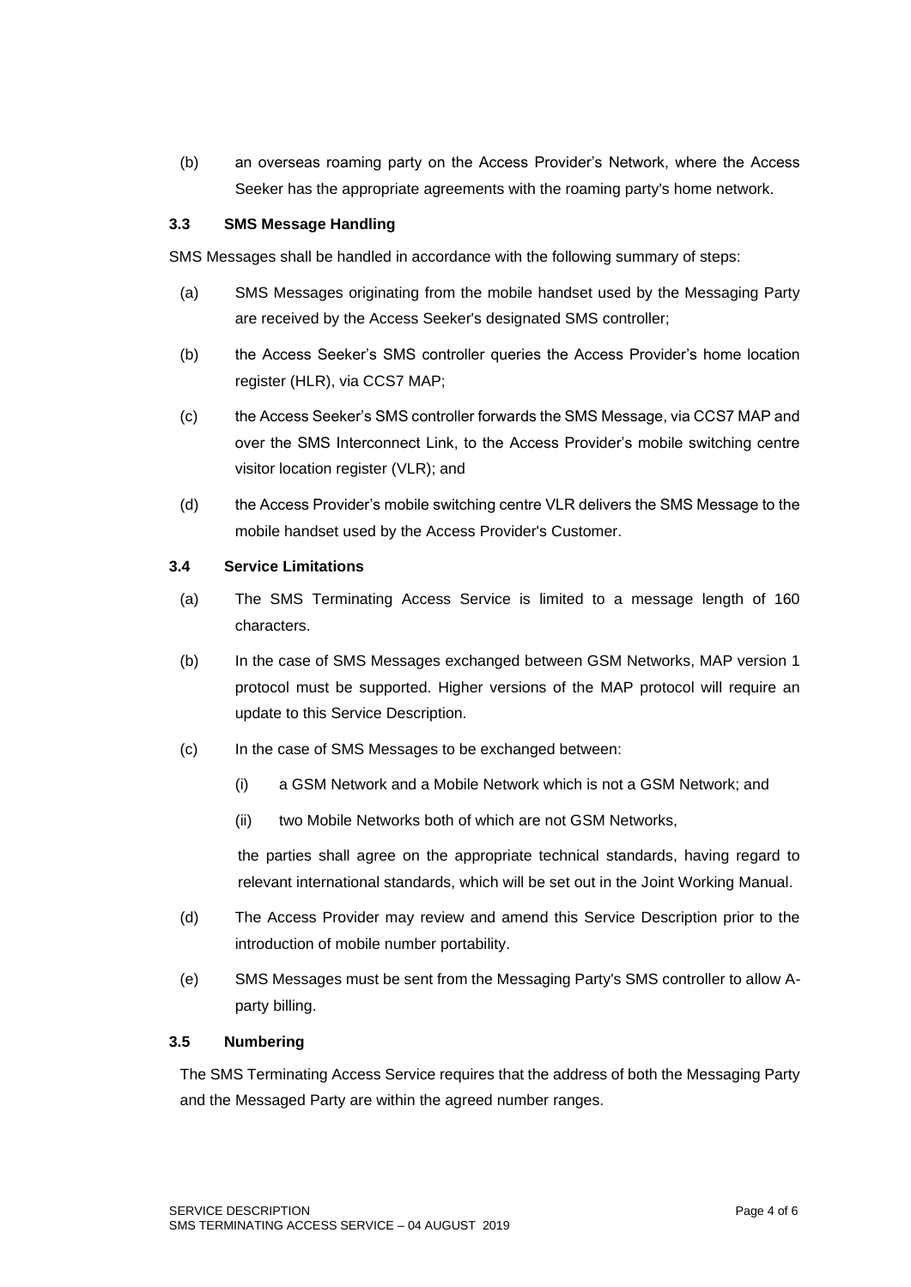(b) an overseas roaming party on the Access Provider's Network, where the Access Seeker has the appropriate agreements with the roaming party's home network.

# **3.3 SMS Message Handling**

SMS Messages shall be handled in accordance with the following summary of steps:

- (a) SMS Messages originating from the mobile handset used by the Messaging Party are received by the Access Seeker's designated SMS controller;
- (b) the Access Seeker's SMS controller queries the Access Provider's home location register (HLR), via CCS7 MAP;
- (c) the Access Seeker's SMS controller forwards the SMS Message, via CCS7 MAP and over the SMS Interconnect Link, to the Access Provider's mobile switching centre visitor location register (VLR); and
- (d) the Access Provider's mobile switching centre VLR delivers the SMS Message to the mobile handset used by the Access Provider's Customer.

#### **3.4 Service Limitations**

- (a) The SMS Terminating Access Service is limited to a message length of 160 characters.
- (b) In the case of SMS Messages exchanged between GSM Networks, MAP version 1 protocol must be supported. Higher versions of the MAP protocol will require an update to this Service Description.
- (c) In the case of SMS Messages to be exchanged between:
	- (i) a GSM Network and a Mobile Network which is not a GSM Network; and
	- (ii) two Mobile Networks both of which are not GSM Networks,

the parties shall agree on the appropriate technical standards, having regard to relevant international standards, which will be set out in the Joint Working Manual.

- (d) The Access Provider may review and amend this Service Description prior to the introduction of mobile number portability.
- (e) SMS Messages must be sent from the Messaging Party's SMS controller to allow Aparty billing.

#### **3.5 Numbering**

The SMS Terminating Access Service requires that the address of both the Messaging Party and the Messaged Party are within the agreed number ranges.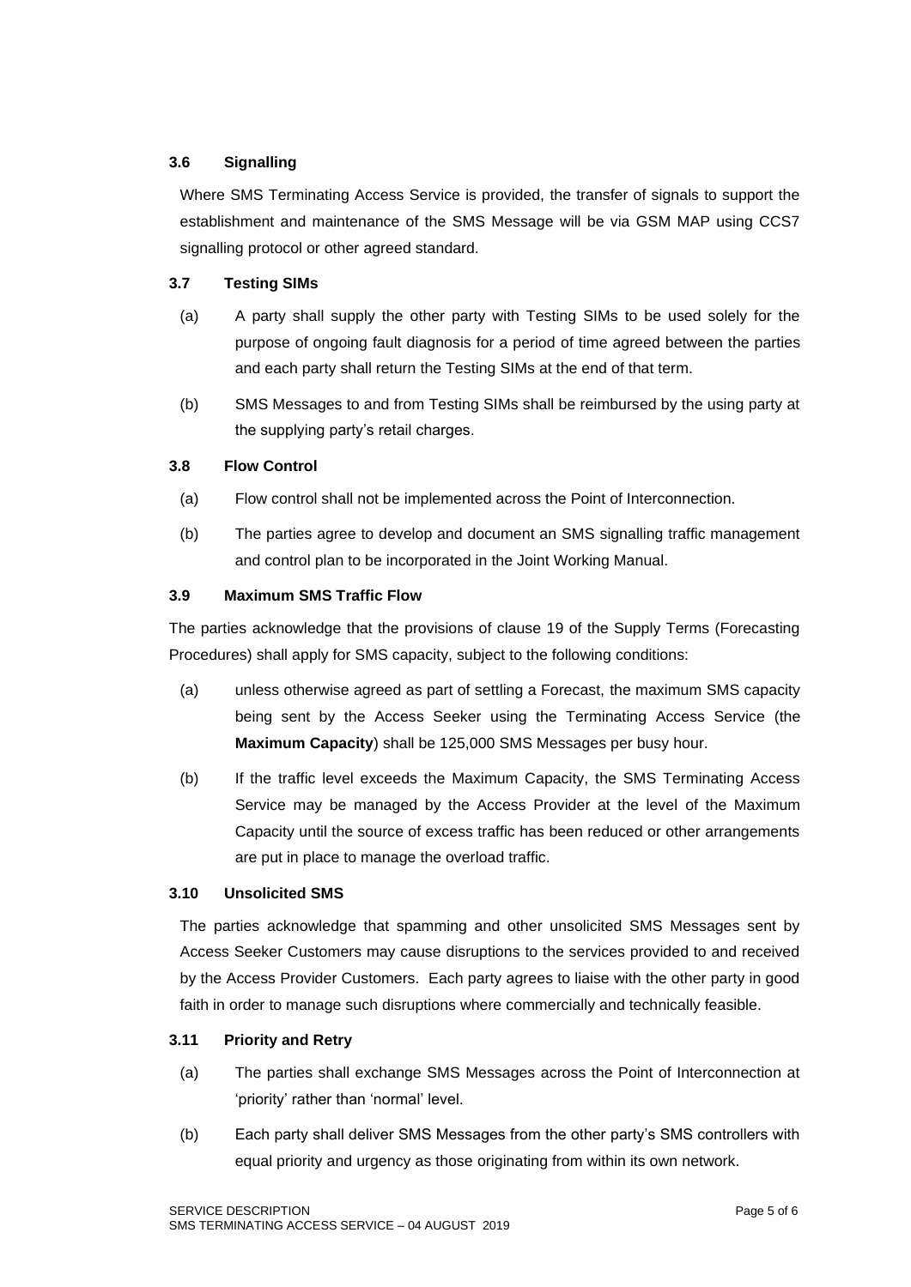# **3.6 Signalling**

Where SMS Terminating Access Service is provided, the transfer of signals to support the establishment and maintenance of the SMS Message will be via GSM MAP using CCS7 signalling protocol or other agreed standard.

# **3.7 Testing SIMs**

- (a) A party shall supply the other party with Testing SIMs to be used solely for the purpose of ongoing fault diagnosis for a period of time agreed between the parties and each party shall return the Testing SIMs at the end of that term.
- (b) SMS Messages to and from Testing SIMs shall be reimbursed by the using party at the supplying party's retail charges.

# **3.8 Flow Control**

- (a) Flow control shall not be implemented across the Point of Interconnection.
- (b) The parties agree to develop and document an SMS signalling traffic management and control plan to be incorporated in the Joint Working Manual.

### **3.9 Maximum SMS Traffic Flow**

The parties acknowledge that the provisions of clause 19 of the Supply Terms (Forecasting Procedures) shall apply for SMS capacity, subject to the following conditions:

- (a) unless otherwise agreed as part of settling a Forecast, the maximum SMS capacity being sent by the Access Seeker using the Terminating Access Service (the **Maximum Capacity**) shall be 125,000 SMS Messages per busy hour.
- (b) If the traffic level exceeds the Maximum Capacity, the SMS Terminating Access Service may be managed by the Access Provider at the level of the Maximum Capacity until the source of excess traffic has been reduced or other arrangements are put in place to manage the overload traffic.

#### **3.10 Unsolicited SMS**

The parties acknowledge that spamming and other unsolicited SMS Messages sent by Access Seeker Customers may cause disruptions to the services provided to and received by the Access Provider Customers. Each party agrees to liaise with the other party in good faith in order to manage such disruptions where commercially and technically feasible.

# **3.11 Priority and Retry**

- (a) The parties shall exchange SMS Messages across the Point of Interconnection at 'priority' rather than 'normal' level.
- (b) Each party shall deliver SMS Messages from the other party's SMS controllers with equal priority and urgency as those originating from within its own network.